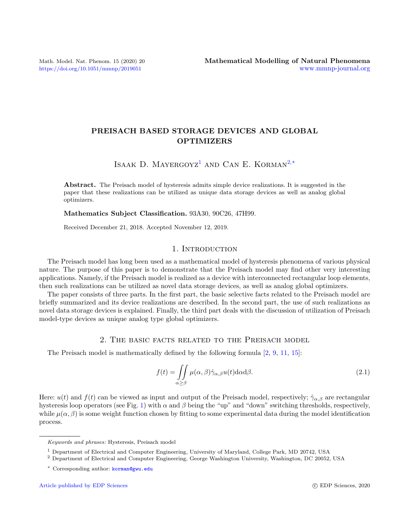<https://doi.org/10.1051/mmnp/2019051>

# PREISACH BASED STORAGE DEVICES AND GLOBAL OPTIMIZERS

ISAAK D. MAYERGOYZ<sup>[1](#page-0-0)</sup> AND CAN E. KORMAN<sup>[2,](#page-0-1)[\\*](#page-0-2)</sup>

Abstract. The Preisach model of hysteresis admits simple device realizations. It is suggested in the paper that these realizations can be utilized as unique data storage devices as well as analog global optimizers.

Mathematics Subject Classification. 93A30, 90C26, 47H99.

Received December 21, 2018. Accepted November 12, 2019.

#### 1. INTRODUCTION

The Preisach model has long been used as a mathematical model of hysteresis phenomena of various physical nature. The purpose of this paper is to demonstrate that the Preisach model may find other very interesting applications. Namely, if the Preisach model is realized as a device with interconnected rectangular loop elements, then such realizations can be utilized as novel data storage devices, as well as analog global optimizers.

The paper consists of three parts. In the first part, the basic selective facts related to the Preisach model are briefly summarized and its device realizations are described. In the second part, the use of such realizations as novel data storage devices is explained. Finally, the third part deals with the discussion of utilization of Preisach model-type devices as unique analog type global optimizers.

#### 2. The basic facts related to the Preisach model

The Preisach model is mathematically defined by the following formula [\[2,](#page-10-0) [9,](#page-10-1) [11,](#page-10-2) [15\]](#page-10-3):

<span id="page-0-3"></span>
$$
f(t) = \iint\limits_{\alpha \ge \beta} \mu(\alpha, \beta) \hat{\gamma}_{\alpha, \beta} u(t) d\alpha d\beta.
$$
 (2.1)

Here:  $u(t)$  and  $f(t)$  can be viewed as input and output of the Preisach model, respectively;  $\hat{\gamma}_{\alpha,\beta}$  are rectangular hysteresis loop operators (see Fig. [1\)](#page-1-0) with  $\alpha$  and  $\beta$  being the "up" and "down" switching thresholds, respectively, while  $\mu(\alpha, \beta)$  is some weight function chosen by fitting to some experimental data during the model identification process.

<span id="page-0-2"></span>Keywords and phrases: Hysteresis, Preisach model

<span id="page-0-0"></span><sup>1</sup> Department of Electrical and Computer Engineering, University of Maryland, College Park, MD 20742, USA

<span id="page-0-1"></span><sup>2</sup> Department of Electrical and Computer Engineering, George Washington University, Washington, DC 20052, USA

<sup>\*</sup> Corresponding author: [korman@gwu.edu](mailto:korman@gwu.edu)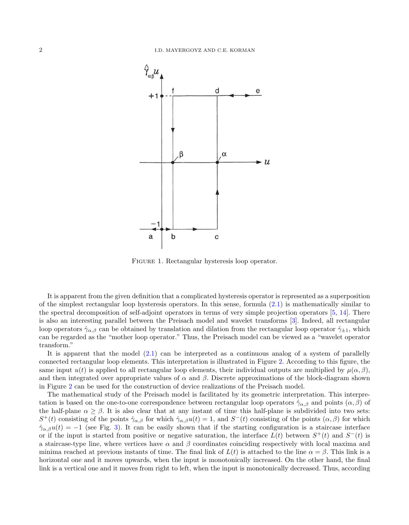

<span id="page-1-0"></span>FIGURE 1. Rectangular hysteresis loop operator.

It is apparent from the given definition that a complicated hysteresis operator is represented as a superposition of the simplest rectangular loop hysteresis operators. In this sense, formula [\(2.1\)](#page-0-3) is mathematically similar to the spectral decomposition of self-adjoint operators in terms of very simple projection operators [\[5,](#page-10-4) [14\]](#page-10-5). There is also an interesting parallel between the Preisach model and wavelet transforms [\[3\]](#page-10-6). Indeed, all rectangular loop operators  $\hat{\gamma}_{\alpha,\beta}$  can be obtained by translation and dilation from the rectangular loop operator  $\hat{\gamma}_{\pm 1}$ , which can be regarded as the "mother loop operator." Thus, the Preisach model can be viewed as a "wavelet operator transform."

It is apparent that the model  $(2.1)$  can be interpreted as a continuous analog of a system of parallelly connected rectangular loop elements. This interpretation is illustrated in Figure [2.](#page-2-0) According to this figure, the same input  $u(t)$  is applied to all rectangular loop elements, their individual outputs are multiplied by  $\mu(\alpha, \beta)$ , and then integrated over appropriate values of  $\alpha$  and  $\beta$ . Discrete approximations of the block-diagram shown in Figure [2](#page-2-0) can be used for the construction of device realizations of the Preisach model.

The mathematical study of the Preisach model is facilitated by its geometric interpretation. This interpretation is based on the one-to-one correspondence between rectangular loop operators  $\hat{\gamma}_{\alpha,\beta}$  and points  $(\alpha,\beta)$  of the half-plane  $\alpha \geq \beta$ . It is also clear that at any instant of time this half-plane is subdivided into two sets:  $S^+(t)$  consisting of the points  $\hat{\gamma}_{\alpha,\beta}$  for which  $\hat{\gamma}_{\alpha,\beta}u(t) = 1$ , and  $S^-(t)$  consisting of the points  $(\alpha,\beta)$  for which  $\hat{\gamma}_{\alpha,\beta}u(t) = -1$  (see Fig. [3\)](#page-2-1). It can be easily shown that if the starting configuration is a staircase interface or if the input is started from positive or negative saturation, the interface  $L(t)$  between  $S^+(t)$  and  $S^-(t)$  is a staircase-type line, where vertices have  $\alpha$  and  $\beta$  coordinates coinciding respectively with local maxima and minima reached at previous instants of time. The final link of  $L(t)$  is attached to the line  $\alpha = \beta$ . This link is a horizontal one and it moves upwards, when the input is monotonically increased. On the other hand, the final link is a vertical one and it moves from right to left, when the input is monotonically decreased. Thus, according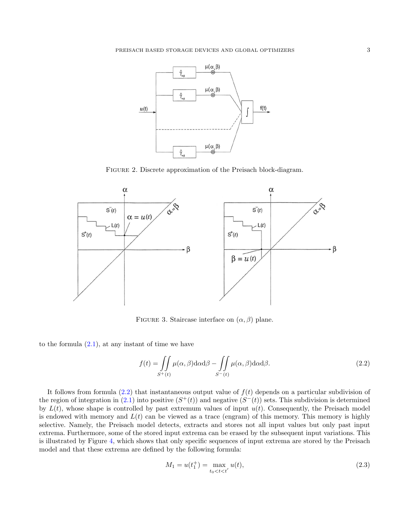

<span id="page-2-0"></span>Figure 2. Discrete approximation of the Preisach block-diagram.



<span id="page-2-1"></span>FIGURE 3. Staircase interface on  $(\alpha, \beta)$  plane.

to the formula  $(2.1)$ , at any instant of time we have

<span id="page-2-2"></span>
$$
f(t) = \iint\limits_{S^+(t)} \mu(\alpha, \beta) d\alpha d\beta - \iint\limits_{S^-(t)} \mu(\alpha, \beta) d\alpha d\beta.
$$
 (2.2)

It follows from formula  $(2.2)$  that instantaneous output value of  $f(t)$  depends on a particular subdivision of the region of integration in  $(2.1)$  into positive  $(S^+(t))$  and negative  $(S^-(t))$  sets. This subdivision is determined by  $L(t)$ , whose shape is controlled by past extremum values of input  $u(t)$ . Consequently, the Preisach model is endowed with memory and  $L(t)$  can be viewed as a trace (engram) of this memory. This memory is highly selective. Namely, the Preisach model detects, extracts and stores not all input values but only past input extrema. Furthermore, some of the stored input extrema can be erased by the subsequent input variations. This is illustrated by Figure [4,](#page-3-0) which shows that only specific sequences of input extrema are stored by the Preisach model and that these extrema are defined by the following formula:

$$
M_1 = u(t_1^+) = \max_{t_0 < t < t'} u(t),\tag{2.3}
$$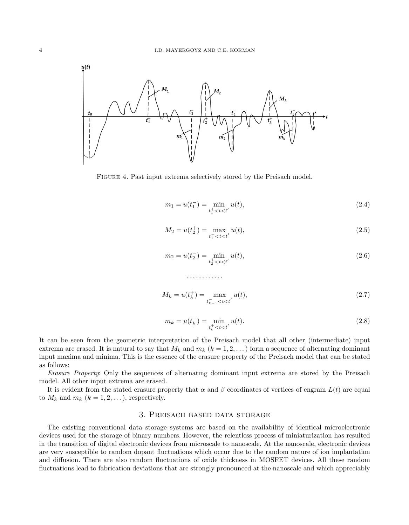

<span id="page-3-0"></span>Figure 4. Past input extrema selectively stored by the Preisach model.

$$
m_1 = u(t_1^-) = \min_{t_1^+ < t < t'} u(t),\tag{2.4}
$$

$$
M_2 = u(t_2^+) = \max_{t_1^- < t < t'} u(t),\tag{2.5}
$$

$$
m_2 = u(t_2^-) = \min_{t_2^+ < t < t'} u(t),\tag{2.6}
$$

$$
M_k = u(t_k^+) = \max_{t_{k-1}^- < t < t'} u(t),\tag{2.7}
$$

$$
m_k = u(t_k^-) = \min_{t_k^+ < t < t'} u(t).
$$
\n(2.8)

It can be seen from the geometric interpretation of the Preisach model that all other (intermediate) input extrema are erased. It is natural to say that  $M_k$  and  $m_k$   $(k = 1, 2, ...)$  form a sequence of alternating dominant input maxima and minima. This is the essence of the erasure property of the Preisach model that can be stated as follows:

. . . . . . . . . . . .

Erasure Property: Only the sequences of alternating dominant input extrema are stored by the Preisach model. All other input extrema are erased.

It is evident from the stated erasure property that  $\alpha$  and  $\beta$  coordinates of vertices of engram  $L(t)$  are equal to  $M_k$  and  $m_k$   $(k = 1, 2, ...)$ , respectively.

### 3. Preisach based data storage

The existing conventional data storage systems are based on the availability of identical microelectronic devices used for the storage of binary numbers. However, the relentless process of miniaturization has resulted in the transition of digital electronic devices from microscale to nanoscale. At the nanoscale, electronic devices are very susceptible to random dopant fluctuations which occur due to the random nature of ion implantation and diffusion. There are also random fluctuations of oxide thickness in MOSFET devices. All these random fluctuations lead to fabrication deviations that are strongly pronounced at the nanoscale and which appreciably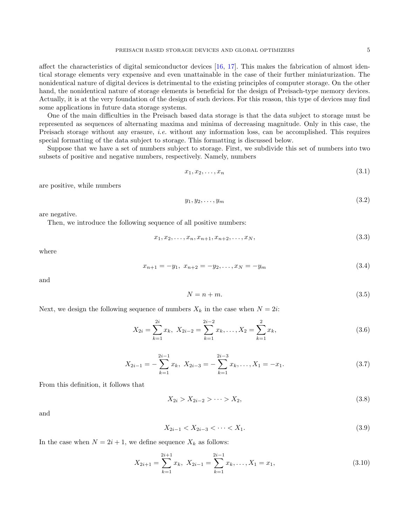affect the characteristics of digital semiconductor devices [\[16,](#page-10-7) [17\]](#page-10-8). This makes the fabrication of almost identical storage elements very expensive and even unattainable in the case of their further miniaturization. The nonidentical nature of digital devices is detrimental to the existing principles of computer storage. On the other hand, the nonidentical nature of storage elements is beneficial for the design of Preisach-type memory devices. Actually, it is at the very foundation of the design of such devices. For this reason, this type of devices may find some applications in future data storage systems.

One of the main difficulties in the Preisach based data storage is that the data subject to storage must be represented as sequences of alternating maxima and minima of decreasing magnitude. Only in this case, the Preisach storage without any erasure, *i.e.* without any information loss, can be accomplished. This requires special formatting of the data subject to storage. This formatting is discussed below.

Suppose that we have a set of numbers subject to storage. First, we subdivide this set of numbers into two subsets of positive and negative numbers, respectively. Namely, numbers

<span id="page-4-0"></span>
$$
x_1, x_2, \ldots, x_n \tag{3.1}
$$

are positive, while numbers

<span id="page-4-1"></span>
$$
y_1, y_2, \ldots, y_m \tag{3.2}
$$

are negative.

Then, we introduce the following sequence of all positive numbers:

$$
x_1, x_2, \dots, x_n, x_{n+1}, x_{n+2}, \dots, x_N,
$$
\n
$$
(3.3)
$$

where

<span id="page-4-5"></span>
$$
x_{n+1} = -y_1, \ x_{n+2} = -y_2, \dots, x_N = -y_m \tag{3.4}
$$

and

<span id="page-4-2"></span>
$$
N = n + m.\t\t(3.5)
$$

Next, we design the following sequence of numbers  $X_k$  in the case when  $N = 2i$ :

<span id="page-4-3"></span>
$$
X_{2i} = \sum_{k=1}^{2i} x_k, \ X_{2i-2} = \sum_{k=1}^{2i-2} x_k, \dots, X_2 = \sum_{k=1}^{2} x_k,
$$
\n(3.6)

<span id="page-4-4"></span>
$$
X_{2i-1} = -\sum_{k=1}^{2i-1} x_k, \ X_{2i-3} = -\sum_{k=1}^{2i-3} x_k, \dots, X_1 = -x_1.
$$
 (3.7)

From this definition, it follows that

$$
X_{2i} > X_{2i-2} > \cdots > X_2,\tag{3.8}
$$

and

$$
X_{2i-1} < X_{2i-3} < \dots < X_1. \tag{3.9}
$$

In the case when  $N = 2i + 1$ , we define sequence  $X_k$  as follows:

<span id="page-4-6"></span>
$$
X_{2i+1} = \sum_{k=1}^{2i+1} x_k, \ X_{2i-1} = \sum_{k=1}^{2i-1} x_k, \dots, X_1 = x_1,
$$
\n(3.10)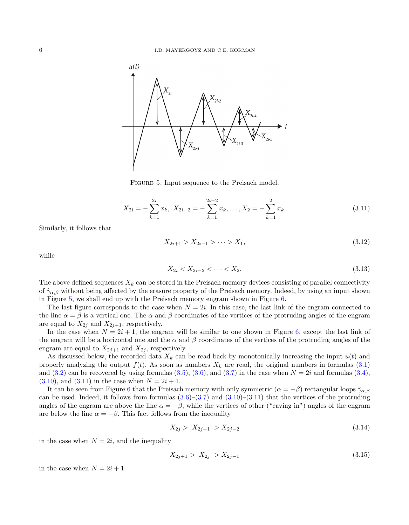

<span id="page-5-0"></span>FIGURE 5. Input sequence to the Preisach model.

<span id="page-5-1"></span>
$$
X_{2i} = -\sum_{k=1}^{2i} x_k, \ X_{2i-2} = -\sum_{k=1}^{2i-2} x_k, \dots, X_2 = -\sum_{k=1}^{2} x_k.
$$
 (3.11)

Similarly, it follows that

$$
X_{2i+1} > X_{2i-1} > \cdots > X_1,\tag{3.12}
$$

while

$$
X_{2i} < X_{2i-2} < \dots < X_2. \tag{3.13}
$$

The above defined sequences  $X_k$  can be stored in the Preisach memory devices consisting of parallel connectivity of  $\hat{\gamma}_{\alpha,\beta}$  without being affected by the erasure property of the Preisach memory. Indeed, by using an input shown in Figure [5,](#page-5-0) we shall end up with the Preisach memory engram shown in Figure [6.](#page-6-0)

The last figure corresponds to the case when  $N = 2i$ . In this case, the last link of the engram connected to the line  $\alpha = \beta$  is a vertical one. The  $\alpha$  and  $\beta$  coordinates of the vertices of the protruding angles of the engram are equal to  $X_{2j}$  and  $X_{2j+1}$ , respectively.

In the case when  $N = 2i + 1$ , the engram will be similar to one shown in Figure [6,](#page-6-0) except the last link of the engram will be a horizontal one and the  $\alpha$  and  $\beta$  coordinates of the vertices of the protruding angles of the engram are equal to  $X_{2j+1}$  and  $X_{2j}$ , respectively.

As discussed below, the recorded data  $X_k$  can be read back by monotonically increasing the input  $u(t)$  and properly analyzing the output  $f(t)$ . As soon as numbers  $X_k$  are read, the original numbers in formulas [\(3.1\)](#page-4-0) and [\(3.2\)](#page-4-1) can be recovered by using formulas [\(3.5\)](#page-4-2), [\(3.6\)](#page-4-3), and [\(3.7\)](#page-4-4) in the case when  $N = 2i$  and formulas [\(3.4\)](#page-4-5),  $(3.10)$ , and  $(3.11)$  in the case when  $N = 2i + 1$ .

It can be seen from Figure [6](#page-6-0) that the Preisach memory with only symmetric  $(\alpha = -\beta)$  rectangular loops  $\hat{\gamma}_{\alpha,\beta}$ can be used. Indeed, it follows from formulas  $(3.6)$ – $(3.7)$  and  $(3.10)$ – $(3.11)$  that the vertices of the protruding angles of the engram are above the line  $\alpha = -\beta$ , while the vertices of other ("caving in") angles of the engram are below the line  $\alpha = -\beta$ . This fact follows from the inequality

$$
X_{2j} > |X_{2j-1}| > X_{2j-2}
$$
\n(3.14)

in the case when  $N = 2i$ , and the inequality

$$
X_{2j+1} > |X_{2j}| > X_{2j-1} \tag{3.15}
$$

in the case when  $N = 2i + 1$ .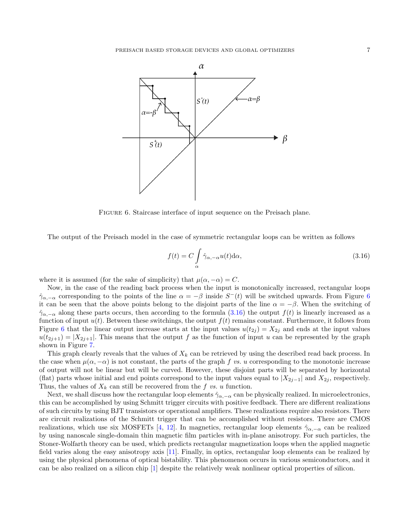

<span id="page-6-0"></span>FIGURE 6. Staircase interface of input sequence on the Preisach plane.

The output of the Preisach model in the case of symmetric rectangular loops can be written as follows

<span id="page-6-1"></span>
$$
f(t) = C \int_{\alpha} \hat{\gamma}_{\alpha, -\alpha} u(t) d\alpha,
$$
\n(3.16)

where it is assumed (for the sake of simplicity) that  $\mu(\alpha, -\alpha) = C$ .

Now, in the case of the reading back process when the input is monotonically increased, rectangular loops  $\hat{\gamma}_{\alpha,-\alpha}$  corresponding to the points of the line  $\alpha = -\beta$  inside  $S^-(t)$  will be switched upwards. From Figure [6](#page-6-0) it can be seen that the above points belong to the disjoint parts of the line  $\alpha = -\beta$ . When the switching of  $\hat{\gamma}_{\alpha,-\alpha}$  along these parts occurs, then according to the formula [\(3.16\)](#page-6-1) the output  $f(t)$  is linearly increased as a function of input  $u(t)$ . Between these switchings, the output  $f(t)$  remains constant. Furthermore, it follows from Figure [6](#page-6-0) that the linear output increase starts at the input values  $u(t_{2j}) = X_{2j}$  and ends at the input values  $u(t_{2j+1}) = |X_{2j+1}|$ . This means that the output f as the function of input u can be represented by the graph shown in Figure [7.](#page-7-0)

This graph clearly reveals that the values of  $X_k$  can be retrieved by using the described read back process. In the case when  $\mu(\alpha, -\alpha)$  is not constant, the parts of the graph f vs. u corresponding to the monotonic increase of output will not be linear but will be curved. However, these disjoint parts will be separated by horizontal (flat) parts whose initial and end points correspond to the input values equal to  $|X_{2j-1}|$  and  $X_{2j}$ , respectively. Thus, the values of  $X_k$  can still be recovered from the f vs. u function.

Next, we shall discuss how the rectangular loop elements  $\hat{\gamma}_{\alpha,-\alpha}$  can be physically realized. In microelectronics, this can be accomplished by using Schmitt trigger circuits with positive feedback. There are different realizations of such circuits by using BJT transistors or operational amplifiers. These realizations require also resistors. There are circuit realizations of the Schmitt trigger that can be accomplished without resistors. There are CMOS realizations, which use six MOSFETs [\[4,](#page-10-9) [12\]](#page-10-10). In magnetics, rectangular loop elements  $\hat{\gamma}_{\alpha,-\alpha}$  can be realized by using nanoscale single-domain thin magnetic film particles with in-plane anisotropy. For such particles, the Stoner-Wolfarth theory can be used, which predicts rectangular magnetization loops when the applied magnetic field varies along the easy anisotropy axis [\[11\]](#page-10-2). Finally, in optics, rectangular loop elements can be realized by using the physical phenomena of optical bistability. This phenomenon occurs in various semiconductors, and it can be also realized on a silicon chip [\[1\]](#page-10-11) despite the relatively weak nonlinear optical properties of silicon.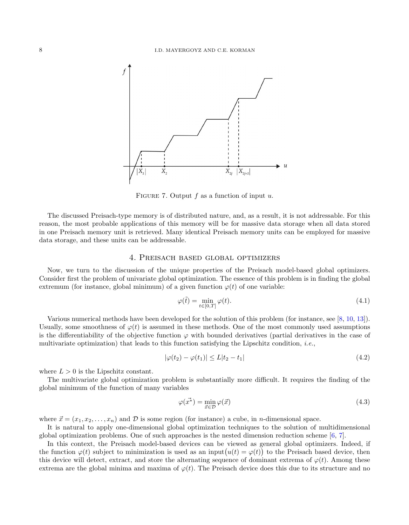

<span id="page-7-0"></span>FIGURE 7. Output f as a function of input  $u$ .

The discussed Preisach-type memory is of distributed nature, and, as a result, it is not addressable. For this reason, the most probable applications of this memory will be for massive data storage when all data stored in one Preisach memory unit is retrieved. Many identical Preisach memory units can be employed for massive data storage, and these units can be addressable.

#### 4. Preisach based global optimizers

Now, we turn to the discussion of the unique properties of the Preisach model-based global optimizers. Consider first the problem of univariate global optimization. The essence of this problem is in finding the global extremum (for instance, global minimum) of a given function  $\varphi(t)$  of one variable:

$$
\varphi(\tilde{t}) = \min_{t \in [0,T]} \varphi(t). \tag{4.1}
$$

Various numerical methods have been developed for the solution of this problem (for instance, see [\[8,](#page-10-12) [10,](#page-10-13) [13\]](#page-10-14)). Usually, some smoothness of  $\varphi(t)$  is assumed in these methods. One of the most commonly used assumptions is the differentiability of the objective function  $\varphi$  with bounded derivatives (partial derivatives in the case of multivariate optimization) that leads to this function satisfying the Lipschitz condition, *i.e.*,

$$
|\varphi(t_2) - \varphi(t_1)| \le L|t_2 - t_1| \tag{4.2}
$$

where  $L > 0$  is the Lipschitz constant.

The multivariate global optimization problem is substantially more difficult. It requires the finding of the global minimum of the function of many variables

$$
\varphi(\vec{x^*}) = \min_{\vec{x} \in \mathcal{D}} \varphi(\vec{x}) \tag{4.3}
$$

where  $\vec{x} = (x_1, x_2, \dots, x_n)$  and  $\vec{D}$  is some region (for instance) a cube, in *n*-dimensional space.

It is natural to apply one-dimensional global optimization techniques to the solution of multidimensional global optimization problems. One of such approaches is the nested dimension reduction scheme [\[6,](#page-10-15) [7\]](#page-10-16).

In this context, the Preisach model-based devices can be viewed as general global optimizers. Indeed, if the function  $\varphi(t)$  subject to minimization is used as an input $(u(t) = \varphi(t))$  to the Preisach based device, then this device will detect, extract, and store the alternating sequence of dominant extrema of  $\varphi(t)$ . Among these extrema are the global minima and maxima of  $\varphi(t)$ . The Preisach device does this due to its structure and no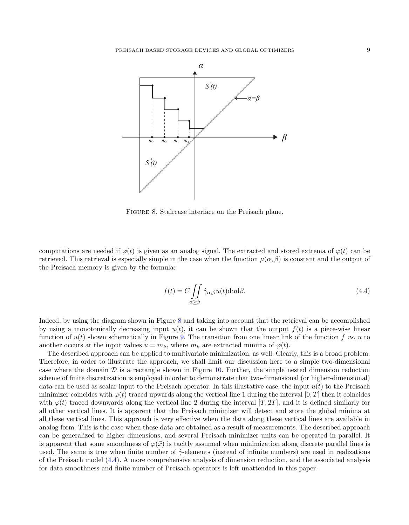

<span id="page-8-0"></span>Figure 8. Staircase interface on the Preisach plane.

computations are needed if  $\varphi(t)$  is given as an analog signal. The extracted and stored extrema of  $\varphi(t)$  can be retrieved. This retrieval is especially simple in the case when the function  $\mu(\alpha, \beta)$  is constant and the output of the Preisach memory is given by the formula:

<span id="page-8-1"></span>
$$
f(t) = C \iint\limits_{\alpha \ge \beta} \hat{\gamma}_{\alpha,\beta} u(t) \mathrm{d}\alpha \mathrm{d}\beta. \tag{4.4}
$$

Indeed, by using the diagram shown in Figure [8](#page-8-0) and taking into account that the retrieval can be accomplished by using a monotonically decreasing input  $u(t)$ , it can be shown that the output  $f(t)$  is a piece-wise linear function of  $u(t)$  shown schematically in Figure [9.](#page-9-0) The transition from one linear link of the function f vs. u to another occurs at the input values  $u = m_k$ , where  $m_k$  are extracted minima of  $\varphi(t)$ .

The described approach can be applied to multivariate minimization, as well. Clearly, this is a broad problem. Therefore, in order to illustrate the approach, we shall limit our discussion here to a simple two-dimensional case where the domain  $\mathcal D$  is a rectangle shown in Figure [10.](#page-9-1) Further, the simple nested dimension reduction scheme of finite discretization is employed in order to demonstrate that two-dimensional (or higher-dimensional) data can be used as scalar input to the Preisach operator. In this illustative case, the input  $u(t)$  to the Preisach minimizer coincides with  $\varphi(t)$  traced upwards along the vertical line 1 during the interval [0, T] then it coincides with  $\varphi(t)$  traced downwards along the vertical line 2 during the interval [T, 2T], and it is defined similarly for all other vertical lines. It is apparent that the Preisach minimizer will detect and store the global minima at all these vertical lines. This approach is very effective when the data along these vertical lines are available in analog form. This is the case when these data are obtained as a result of measurements. The described approach can be generalized to higher dimensions, and several Preisach minimizer units can be operated in parallel. It is apparent that some smoothness of  $\varphi(\vec{x})$  is tacitly assumed when minimization along discrete parallel lines is used. The same is true when finite number of  $\hat{\gamma}$ -elements (instead of infinite numbers) are used in realizations of the Preisach model [\(4.4\)](#page-8-1). A more comprehensive analysis of dimension reduction, and the associated analysis for data smoothness and finite number of Preisach operators is left unattended in this paper.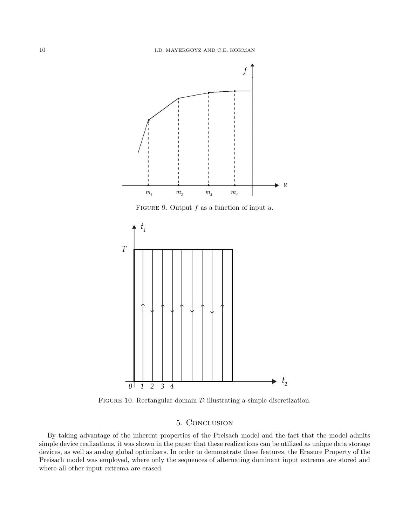<span id="page-9-0"></span>

<span id="page-9-1"></span>FIGURE 10. Rectangular domain  $D$  illustrating a simple discretization.

## 5. Conclusion

By taking advantage of the inherent properties of the Preisach model and the fact that the model admits simple device realizations, it was shown in the paper that these realizations can be utilized as unique data storage devices, as well as analog global optimizers. In order to demonstrate these features, the Erasure Property of the Preisach model was employed, where only the sequences of alternating dominant input extrema are stored and where all other input extrema are erased.